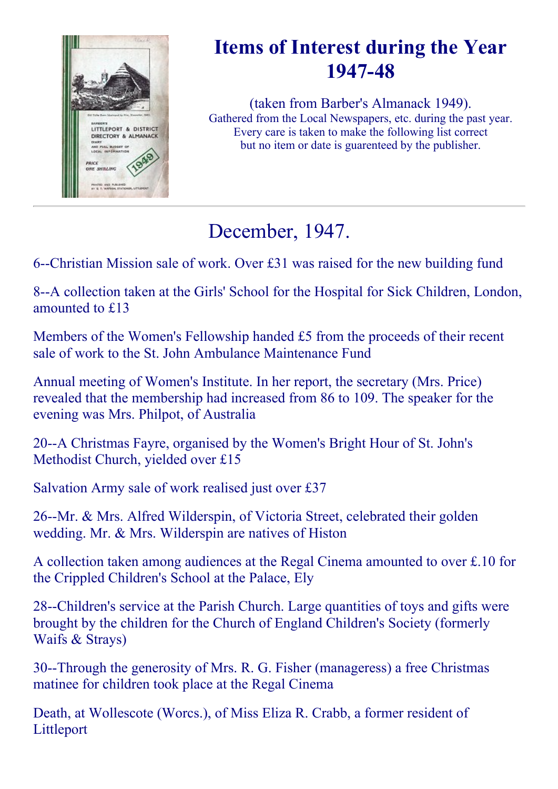

# Items of Interest during the Year 1947-48

(taken from Barber's Almanack 1949). Gathered from the Local Newspapers, etc. during the past year. Every care is taken to make the following list correct but no item or date is guarenteed by the publisher.

# December, 1947.

6--Christian Mission sale of work. Over  $£31$  was raised for the new building fund

8--A collection taken at the Girls' School for the Hospital for Sick Children, London, amounted to £13

Members of the Women's Fellowship handed £5 from the proceeds of their recent sale of work to the St. John Ambulance Maintenance Fund

Annual meeting of Women's Institute. In her report, the secretary (Mrs. Price) revealed that the membership had increased from 86 to 109. The speaker for the evening was Mrs. Philpot, of Australia

20--A Christmas Fayre, organised by the Women's Bright Hour of St. John's Methodist Church, yielded over £15

Salvation Army sale of work realised just over £37

26--Mr. & Mrs. Alfred Wilderspin, of Victoria Street, celebrated their golden wedding. Mr. & Mrs. Wilderspin are natives of Histon

A collection taken among audiences at the Regal Cinema amounted to over £.10 for the Crippled Children's School at the Palace, Ely

28--Children's service at the Parish Church. Large quantities of toys and gifts were brought by the children for the Church of England Children's Society (formerly Waifs & Strays)

30--Through the generosity of Mrs. R. G. Fisher (manageress) a free Christmas matinee for children took place at the Regal Cinema

Death, at Wollescote (Worcs.), of Miss Eliza R. Crabb, a former resident of Littleport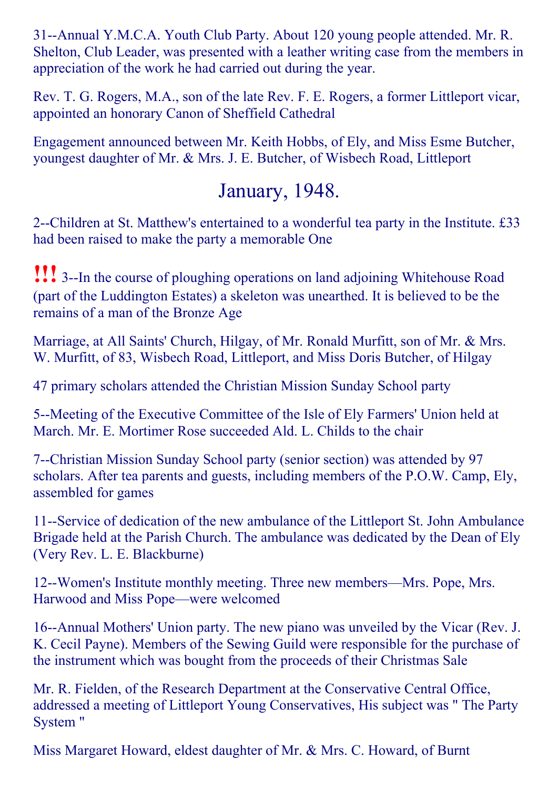31--Annual Y.M.C.A. Youth Club Party. About 120 young people attended. Mr. R. Shelton, Club Leader, was presented with a leather writing case from the members in appreciation of the work he had carried out during the year.

Rev. T. G. Rogers, M.A., son of the late Rev. F. E. Rogers, a former Littleport vicar, appointed an honorary Canon of Sheffield Cathedral

Engagement announced between Mr. Keith Hobbs, of Ely, and Miss Esme Butcher, youngest daughter of Mr. & Mrs. J. E. Butcher, of Wisbech Road, Littleport

### January, 1948.

2--Children at St. Matthew's entertained to a wonderful tea party in the Institute. £33 had been raised to make the party a memorable One

**!!!** 3--In the course of ploughing operations on land adjoining Whitehouse Road (part of the Luddington Estates) a skeleton was unearthed. It is believed to be the remains of a man of the Bronze Age

Marriage, at All Saints' Church, Hilgay, of Mr. Ronald Murfitt, son of Mr. & Mrs. W. Murfitt, of 83, Wisbech Road, Littleport, and Miss Doris Butcher, of Hilgay

47 primary scholars attended the Christian Mission Sunday School party

5--Meeting of the Executive Committee of the Isle of Ely Farmers' Union held at March. Mr. E. Mortimer Rose succeeded Ald. L. Childs to the chair

7--Christian Mission Sunday School party (senior section) was attended by 97 scholars. After tea parents and guests, including members of the P.O.W. Camp, Ely, assembled for games

11-Service of dedication of the new ambulance of the Littleport St. John Ambulance Brigade held at the Parish Church. The ambulance was dedicated by the Dean of Ely (Very Rev. L. E. Blackburne)

12--Women's Institute monthly meeting. Three new members—Mrs. Pope, Mrs. Harwood and Miss Pope—were welcomed

16--Annual Mothers' Union party. The new piano was unveiled by the Vicar (Rev. J. K. Cecil Payne). Members of the Sewing Guild were responsible for the purchase of the instrument which was bought from the proceeds of their Christmas Sale

Mr. R. Fielden, of the Research Department at the Conservative Central Office, addressed a meeting of Littleport Young Conservatives, His subject was " The Party System "

Miss Margaret Howard, eldest daughter of Mr. & Mrs. C. Howard, of Burnt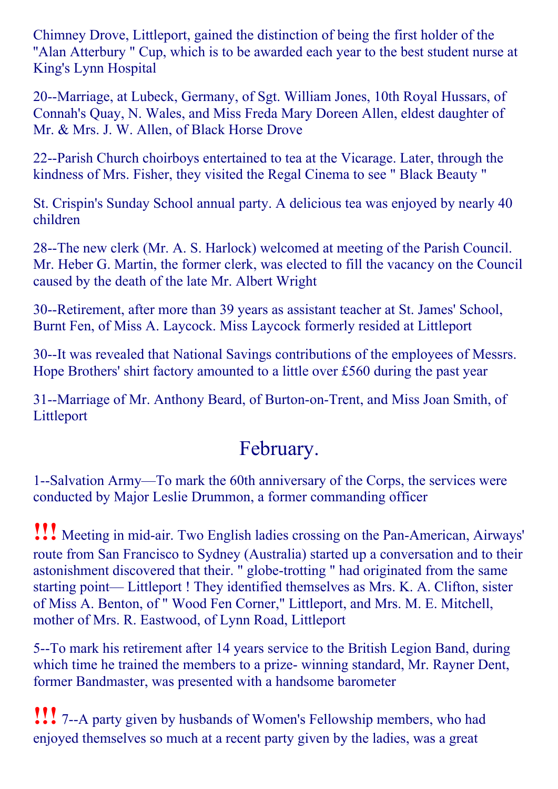Chimney Drove, Littleport, gained the distinction of being the first holder of the ''Alan Atterbury " Cup, which is to be awarded each year to the best student nurse at King's Lynn Hospital

20--Marriage, at Lubeck, Germany, of Sgt. William Jones, 10th Royal Hussars, of Connah's Quay, N. Wales, and Miss Freda Mary Doreen Allen, eldest daughter of Mr. & Mrs. J. W. Allen, of Black Horse Drove

22--Parish Church choirboys entertained to tea at the Vicarage. Later, through the kindness of Mrs. Fisher, they visited the Regal Cinema to see " Black Beauty "

St. Crispin's Sunday School annual party. A delicious tea was enjoyed by nearly 40 children

28--The new clerk (Mr. A. S. Harlock) welcomed at meeting of the Parish Council. Mr. Heber G. Martin, the former clerk, was elected to fill the vacancy on the Council caused by the death of the late Mr. Albert Wright

30--Retirement, after more than 39 years as assistant teacher at St. James' School, Burnt Fen, of Miss A. Laycock. Miss Laycock formerly resided at Littleport

30--It was revealed that National Savings contributions of the employees of Messrs. Hope Brothers' shirt factory amounted to a little over £560 during the past year

31--Marriage of Mr. Anthony Beard, of Burton-on-Trent, and Miss Joan Smith, of Littleport

### February.

1--Salvation Army—To mark the 60th anniversary of the Corps, the services were conducted by Major Leslie Drummon, a former commanding officer

**!!!** Meeting in mid-air. Two English ladies crossing on the Pan-American, Airways' route from San Francisco to Sydney (Australia) started up a conversation and to their astonishment discovered that their. " globe-trotting " had originated from the same starting point— Littleport ! They identified themselves as Mrs. K. A. Clifton, sister of Miss A. Benton, of " Wood Fen Corner," Littleport, and Mrs. M. E. Mitchell, mother of Mrs. R. Eastwood, of Lynn Road, Littleport

5--To mark his retirement after 14 years service to the British Legion Band, during which time he trained the members to a prize- winning standard, Mr. Rayner Dent, former Bandmaster, was presented with a handsome barometer

**!!!** 7--A party given by husbands of Women's Fellowship members, who had enjoyed themselves so much at a recent party given by the ladies, was a great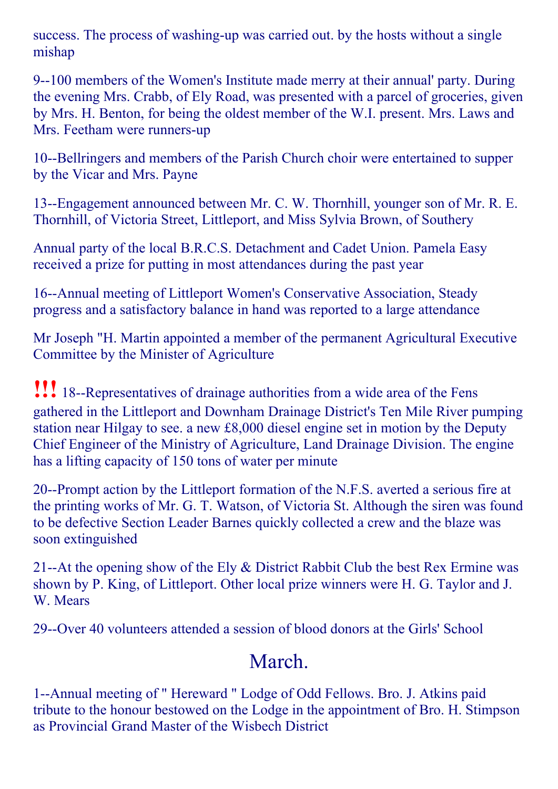success. The process of washing-up was carried out. by the hosts without a single mishap

9--100 members of the Women's Institute made merry at their annual' party. During the evening Mrs. Crabb, of Ely Road, was presented with a parcel of groceries, given by Mrs. H. Benton, for being the oldest member of the W.I. present. Mrs. Laws and Mrs. Feetham were runners-up

10--Bellringers and members of the Parish Church choir were entertained to supper by the Vicar and Mrs. Payne

13--Engagement announced between Mr. C. W. Thornhill, younger son of Mr. R. E. Thornhill, of Victoria Street, Littleport, and Miss Sylvia Brown, of Southery

Annual party of the local B.R.C.S. Detachment and Cadet Union. Pamela Easy received a prize for putting in most attendances during the past year

16--Annual meeting of Littleport Women's Conservative Association, Steady progress and a satisfactory balance in hand was reported to a large attendance

Mr Joseph "H. Martin appointed a member of the permanent Agricultural Executive Committee by the Minister of Agriculture

**!!!** 18--Representatives of drainage authorities from a wide area of the Fens gathered in the Littleport and Downham Drainage District's Ten Mile River pumping station near Hilgay to see. a new £8,000 diesel engine set in motion by the Deputy Chief Engineer of the Ministry of Agriculture, Land Drainage Division. The engine has a lifting capacity of 150 tons of water per minute

20--Prompt action by the Littleport formation of the N.F.S. averted a serious fire at the printing works of Mr. G. T. Watson, of Victoria St. Although the siren was found to be defective Section Leader Barnes quickly collected a crew and the blaze was soon extinguished

21--At the opening show of the Ely  $&$  District Rabbit Club the best Rex Ermine was shown by P. King, of Littleport. Other local prize winners were H. G. Taylor and J. W. Mears

29--Over 40 volunteers attended a session of blood donors at the Girls' School

### March.

1--Annual meeting of " Hereward " Lodge of Odd Fellows. Bro. J. Atkins paid tribute to the honour bestowed on the Lodge in the appointment of Bro. H. Stimpson as Provincial Grand Master of the Wisbech District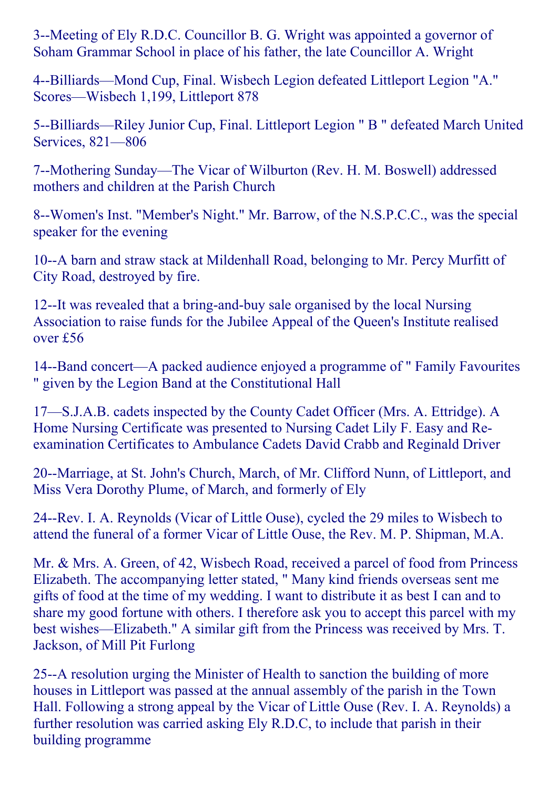3--Meeting of Ely R.D.C. Councillor B. G. Wright was appointed a governor of Soham Grammar School in place of his father, the late Councillor A. Wright

4--Billiards—Mond Cup, Final. Wisbech Legion defeated Littleport Legion "A." Scores—Wisbech 1,199, Littleport 878

5--Billiards—Riley Junior Cup, Final. Littleport Legion " B " defeated March United Services, 821—806

7--Mothering Sunday—The Vicar of Wilburton (Rev. H. M. Boswell) addressed mothers and children at the Parish Church

8--Women's Inst. "Member's Night." Mr. Barrow, of the N.S.P.C.C., was the special speaker for the evening

10--A barn and straw stack at Mildenhall Road, belonging to Mr. Percy Murfitt of City Road, destroyed by fire.

12--It was revealed that a bring-and-buy sale organised by the local Nursing Association to raise funds for the Jubilee Appeal of the Queen's Institute realised over £56

14--Band concert—A packed audience enjoyed a programme of " Family Favourites " given by the Legion Band at the Constitutional Hall

17—S.J.A.B. cadets inspected by the County Cadet Officer (Mrs. A. Ettridge). A Home Nursing Certificate was presented to Nursing Cadet Lily F. Easy and Reexamination Certificates to Ambulance Cadets David Crabb and Reginald Driver

20--Marriage, at St. John's Church, March, of Mr. Clifford Nunn, of Littleport, and Miss Vera Dorothy Plume, of March, and formerly of Ely

24--Rev. I. A. Reynolds (Vicar of Little Ouse), cycled the 29 miles to Wisbech to attend the funeral of a former Vicar of Little Ouse, the Rev. M. P. Shipman, M.A.

Mr. & Mrs. A. Green, of 42, Wisbech Road, received a parcel of food from Princess Elizabeth. The accompanying letter stated, " Many kind friends overseas sent me gifts of food at the time of my wedding. I want to distribute it as best I can and to share my good fortune with others. I therefore ask you to accept this parcel with my best wishes—Elizabeth." A similar gift from the Princess was received by Mrs. T. Jackson, of Mill Pit Furlong

25--A resolution urging the Minister of Health to sanction the building of more houses in Littleport was passed at the annual assembly of the parish in the Town Hall. Following a strong appeal by the Vicar of Little Ouse (Rev. I. A. Reynolds) a further resolution was carried asking Ely R.D.C, to include that parish in their building programme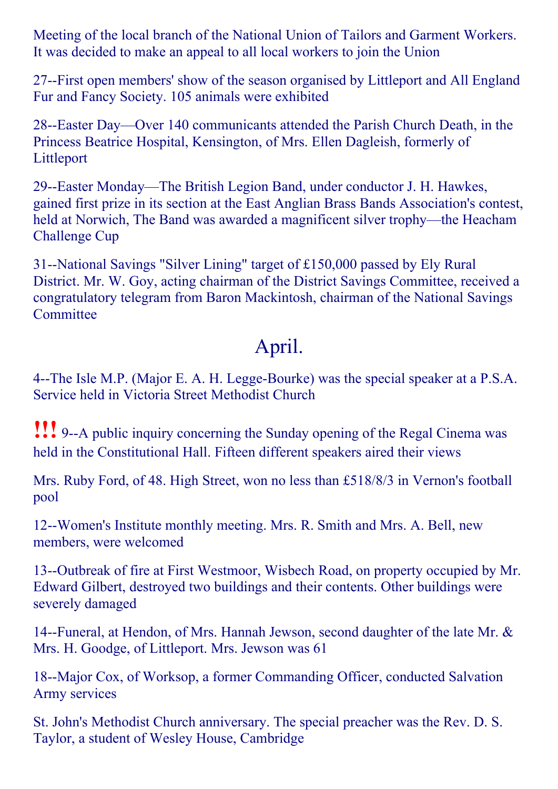Meeting of the local branch of the National Union of Tailors and Garment Workers. It was decided to make an appeal to all local workers to join the Union

27--First open members' show of the season organised by Littleport and All England Fur and Fancy Society. 105 animals were exhibited

28--Easter Day—Over 140 communicants attended the Parish Church Death, in the Princess Beatrice Hospital, Kensington, of Mrs. Ellen Dagleish, formerly of Littleport

29--Easter Monday—The British Legion Band, under conductor J. H. Hawkes, gained first prize in its section at the East Anglian Brass Bands Association's contest, held at Norwich, The Band was awarded a magnificent silver trophy—the Heacham Challenge Cup

31--National Savings "Silver Lining" target of  $£150,000$  passed by Ely Rural District. Mr. W. Goy, acting chairman of the District Savings Committee, received a congratulatory telegram from Baron Mackintosh, chairman of the National Savings **Committee** 

### April.

4--The Isle M.P. (Major E. A. H. Legge-Bourke) was the special speaker at a P.S.A. Service held in Victoria Street Methodist Church

**!!!** 9--A public inquiry concerning the Sunday opening of the Regal Cinema was held in the Constitutional Hall. Fifteen different speakers aired their views

Mrs. Ruby Ford, of 48. High Street, won no less than £518/8/3 in Vernon's football pool

12--Women's Institute monthly meeting. Mrs. R. Smith and Mrs. A. Bell, new members, were welcomed

13--Outbreak of fire at First Westmoor, Wisbech Road, on property occupied by Mr. Edward Gilbert, destroyed two buildings and their contents. Other buildings were severely damaged

14--Funeral, at Hendon, of Mrs. Hannah Jewson, second daughter of the late Mr.  $\&$ Mrs. H. Goodge, of Littleport. Mrs. Jewson was 61

18--Major Cox, of Worksop, a former Commanding Officer, conducted Salvation Army services

St. John's Methodist Church anniversary. The special preacher was the Rev. D. S. Taylor, a student of Wesley House, Cambridge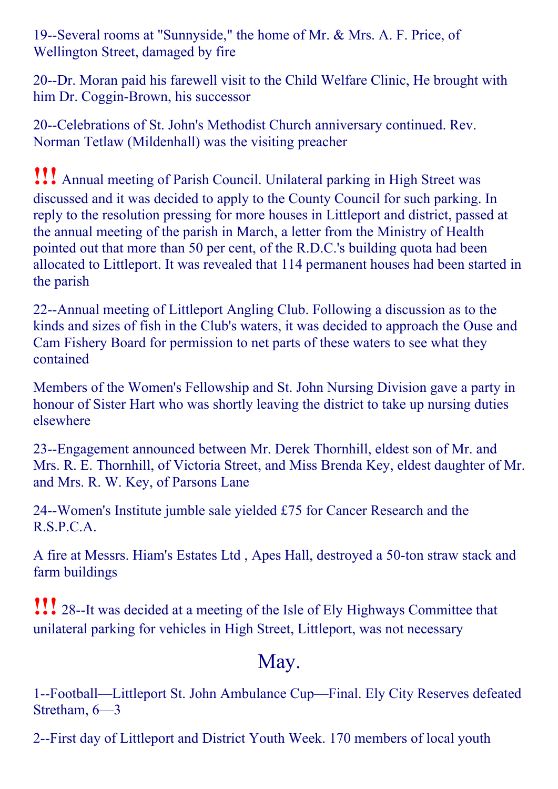19--Several rooms at "Sunnyside," the home of Mr. & Mrs. A. F. Price, of Wellington Street, damaged by fire

20--Dr. Moran paid his farewell visit to the Child Welfare Clinic, He brought with him Dr. Coggin-Brown, his successor

20--Celebrations of St. John's Methodist Church anniversary continued. Rev. Norman Tetlaw (Mildenhall) was the visiting preacher

!!! Annual meeting of Parish Council. Unilateral parking in High Street was discussed and it was decided to apply to the County Council for such parking. In reply to the resolution pressing for more houses in Littleport and district, passed at the annual meeting of the parish in March, a letter from the Ministry of Health pointed out that more than 50 per cent, of the R.D.C.'s building quota had been allocated to Littleport. It was revealed that 114 permanent houses had been started in the parish

22--Annual meeting of Littleport Angling Club. Following a discussion as to the kinds and sizes of fish in the Club's waters, it was decided to approach the Ouse and Cam Fishery Board for permission to net parts of these waters to see what they contained

Members of the Women's Fellowship and St. John Nursing Division gave a party in honour of Sister Hart who was shortly leaving the district to take up nursing duties elsewhere

23--Engagement announced between Mr. Derek Thornhill, eldest son of Mr. and Mrs. R. E. Thornhill, of Victoria Street, and Miss Brenda Key, eldest daughter of Mr. and Mrs. R. W. Key, of Parsons Lane

24--Women's Institute jumble sale yielded £75 for Cancer Research and the R.S.P.C.A.

A fire at Messrs. Hiam's Estates Ltd, Apes Hall, destroyed a 50-ton straw stack and farm buildings

**!!!** 28--It was decided at a meeting of the Isle of Ely Highways Committee that unilateral parking for vehicles in High Street, Littleport, was not necessary

### May.

1--Football—Littleport St. John Ambulance Cup—Final. Ely City Reserves defeated Stretham, 6—3

2--First day of Littleport and District Youth Week. 170 members of local youth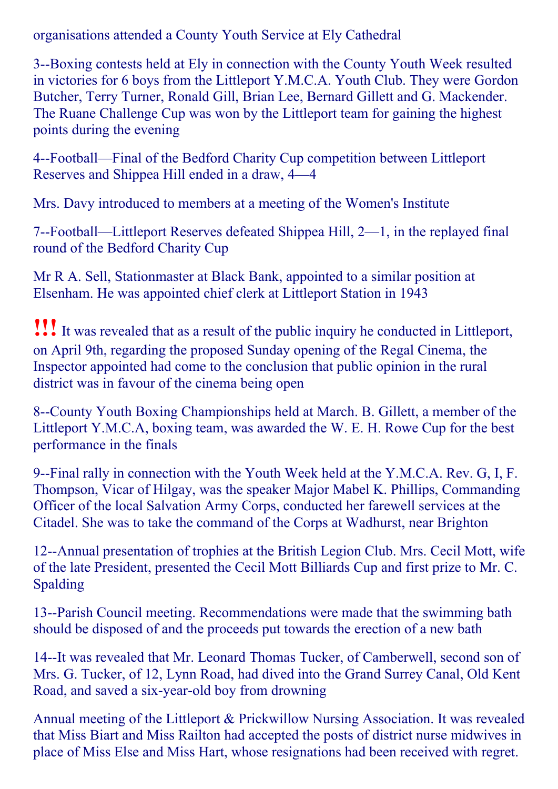organisations attended a County Youth Service at Ely Cathedral

3--Boxing contests held at Ely in connection with the County Youth Week resulted in victories for 6 boys from the Littleport Y.M.C.A. Youth Club. They were Gordon Butcher, Terry Turner, Ronald Gill, Brian Lee, Bernard Gillett and G. Mackender. The Ruane Challenge Cup was won by the Littleport team for gaining the highest points during the evening

4Football—Final of the Bedford Charity Cup competition between Littleport Reserves and Shippea Hill ended in a draw, 4—4

Mrs. Davy introduced to members at a meeting of the Women's Institute

7Football—Littleport Reserves defeated Shippea Hill, 2—1, in the replayed final round of the Bedford Charity Cup

Mr R A. Sell, Stationmaster at Black Bank, appointed to a similar position at Elsenham. He was appointed chief clerk at Littleport Station in 1943

!!!It was revealed that as <sup>a</sup> result of the public inquiry he conducted in Littleport, on April 9th, regarding the proposed Sunday opening of the Regal Cinema, the Inspector appointed had come to the conclusion that public opinion in the rural district was in favour of the cinema being open

8--County Youth Boxing Championships held at March. B. Gillett, a member of the Littleport Y.M.C.A, boxing team, was awarded the W. E. H. Rowe Cup for the best performance in the finals

9--Final rally in connection with the Youth Week held at the Y.M.C.A. Rev. G, I, F. Thompson, Vicar of Hilgay, was the speaker Major Mabel K. Phillips, Commanding Officer of the local Salvation Army Corps, conducted her farewell services at the Citadel. She was to take the command of the Corps at Wadhurst, near Brighton

12--Annual presentation of trophies at the British Legion Club. Mrs. Cecil Mott, wife of the late President, presented the Cecil Mott Billiards Cup and first prize to Mr. C. Spalding

13--Parish Council meeting. Recommendations were made that the swimming bath should be disposed of and the proceeds put towards the erection of a new bath

14--It was revealed that Mr. Leonard Thomas Tucker, of Camberwell, second son of Mrs. G. Tucker, of 12, Lynn Road, had dived into the Grand Surrey Canal, Old Kent Road, and saved a six-year-old boy from drowning

Annual meeting of the Littleport & Prickwillow Nursing Association. It was revealed that Miss Biart and Miss Railton had accepted the posts of district nurse midwives in place of Miss Else and Miss Hart, whose resignations had been received with regret.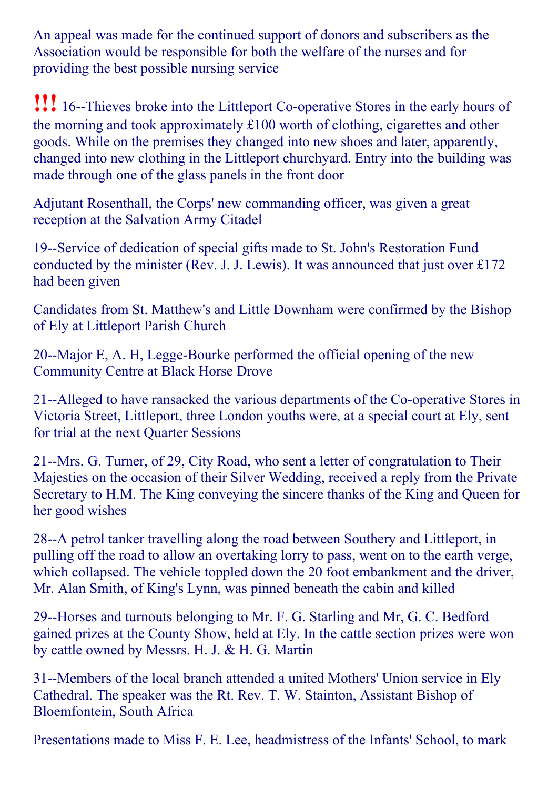An appeal was made for the continued support of donors and subscribers as the Association would be responsible for both the welfare of the nurses and for providing the best possible nursing service

**!!!** 16--Thieves broke into the Littleport Co-operative Stores in the early hours of the morning and took approximately £100 worth of clothing, cigarettes and other goods. While on the premises they changed into new shoes and later, apparently, changed into new clothing in the Littleport churchyard. Entry into the building was made through one of the glass panels in the front door

Adjutant Rosenthall, the Corps' new commanding officer, was given a great reception at the Salvation Army Citadel

19--Service of dedication of special gifts made to St. John's Restoration Fund conducted by the minister (Rev. J. J. Lewis). It was announced that just over £172 had been given

Candidates from St. Matthew's and Little Downham were confirmed by the Bishop of Ely at Littleport Parish Church

20--Major E, A. H, Legge-Bourke performed the official opening of the new Community Centre at Black Horse Drove

21--Alleged to have ransacked the various departments of the Co-operative Stores in Victoria Street, Littleport, three London youths were, at a special court at Ely, sent for trial at the next Quarter Sessions

21--Mrs. G. Turner, of 29, City Road, who sent a letter of congratulation to Their Majesties on the occasion of their Silver Wedding, received a reply from the Private Secretary to H.M. The King conveying the sincere thanks of the King and Queen for her good wishes

28--A petrol tanker travelling along the road between Southery and Littleport, in pulling off the road to allow an overtaking lorry to pass, went on to the earth verge, which collapsed. The vehicle toppled down the 20 foot embankment and the driver, Mr. Alan Smith, of King's Lynn, was pinned beneath the cabin and killed

29--Horses and turnouts belonging to Mr. F. G. Starling and Mr. G. C. Bedford gained prizes at the County Show, held at Ely. In the cattle section prizes were won by cattle owned by Messrs. H. J. & H. G. Martin

31--Members of the local branch attended a united Mothers' Union service in Ely Cathedral. The speaker was the Rt. Rev. T. W. Stainton, Assistant Bishop of Bloemfontein, South Africa

Presentations made to Miss F. E. Lee, headmistress of the Infants' School, to mark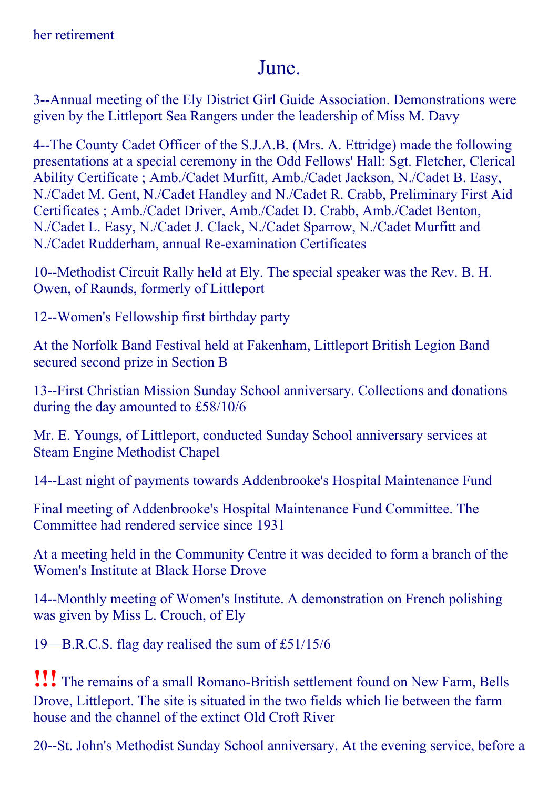### June.

3--Annual meeting of the Ely District Girl Guide Association. Demonstrations were given by the Littleport Sea Rangers under the leadership of Miss M. Davy

4--The County Cadet Officer of the S.J.A.B. (Mrs. A. Ettridge) made the following presentations at a special ceremony in the Odd Fellows' Hall: Sgt. Fletcher, Clerical Ability Certificate ; Amb./Cadet Murfitt, Amb./Cadet Jackson, N./Cadet B. Easy, N./Cadet M. Gent, N./Cadet Handley and N./Cadet R. Crabb, Preliminary First Aid Certificates ; Amb./Cadet Driver, Amb./Cadet D. Crabb, Amb./Cadet Benton, N./Cadet L. Easy, N./Cadet J. Clack, N./Cadet Sparrow, N./Cadet Murfitt and N./Cadet Rudderham, annual Re-examination Certificates

10--Methodist Circuit Rally held at Ely. The special speaker was the Rev. B. H. Owen, of Raunds, formerly of Littleport

12--Women's Fellowship first birthday party

At the Norfolk Band Festival held at Fakenham, Littleport British Legion Band secured second prize in Section B

13--First Christian Mission Sunday School anniversary. Collections and donations during the day amounted to £58/10/6

Mr. E. Youngs, of Littleport, conducted Sunday School anniversary services at Steam Engine Methodist Chapel

14--Last night of payments towards Addenbrooke's Hospital Maintenance Fund

Final meeting of Addenbrooke's Hospital Maintenance Fund Committee. The Committee had rendered service since 1931

At a meeting held in the Community Centre it was decided to form a branch of the Women's Institute at Black Horse Drove

14--Monthly meeting of Women's Institute. A demonstration on French polishing was given by Miss L. Crouch, of Ely

19—B.R.C.S. flag day realised the sum of £51/15/6

!!! The remains of a small Romano-British settlement found on New Farm, Bells Drove, Littleport. The site is situated in the two fields which lie between the farm house and the channel of the extinct Old Croft River

20--St. John's Methodist Sunday School anniversary. At the evening service, before a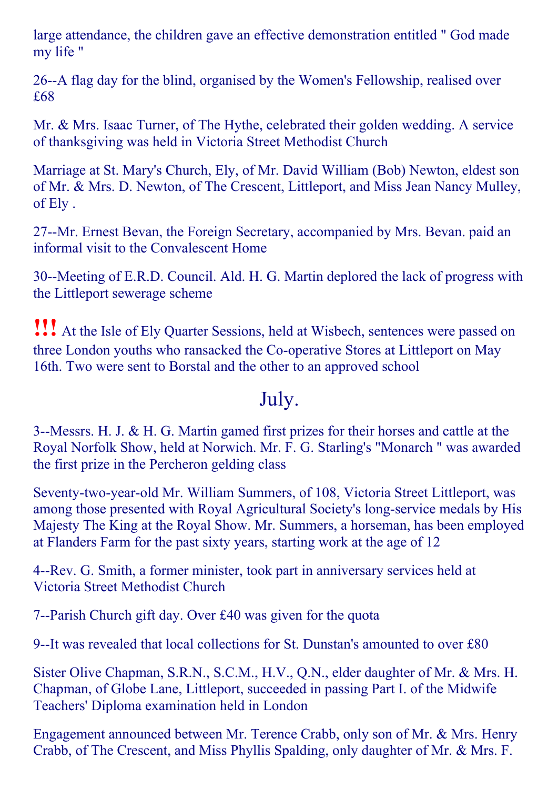large attendance, the children gave an effective demonstration entitled " God made my life "

26--A flag day for the blind, organised by the Women's Fellowship, realised over £68

Mr. & Mrs. Isaac Turner, of The Hythe, celebrated their golden wedding. A service of thanksgiving was held in Victoria Street Methodist Church

Marriage at St. Mary's Church, Ely, of Mr. David William (Bob) Newton, eldest son of Mr. & Mrs. D. Newton, of The Crescent, Littleport, and Miss Jean Nancy Mulley, of Ely .

27--Mr. Ernest Bevan, the Foreign Secretary, accompanied by Mrs. Bevan. paid an informal visit to the Convalescent Home

30--Meeting of E.R.D. Council. Ald. H. G. Martin deplored the lack of progress with the Littleport sewerage scheme

!!! At the Isle of Ely Quarter Sessions, held at Wisbech, sentences were passed on three London youths who ransacked the Co-operative Stores at Littleport on May 16th. Two were sent to Borstal and the other to an approved school

#### July.

3--Messrs. H. J. & H. G. Martin gamed first prizes for their horses and cattle at the Royal Norfolk Show, held at Norwich. Mr. F. G. Starling's "Monarch " was awarded the first prize in the Percheron gelding class

Seventy-two-year-old Mr. William Summers, of 108, Victoria Street Littleport, was among those presented with Royal Agricultural Society's long-service medals by His Majesty The King at the Royal Show. Mr. Summers, a horseman, has been employed at Flanders Farm for the past sixty years, starting work at the age of 12

4--Rev. G. Smith, a former minister, took part in anniversary services held at Victoria Street Methodist Church

7--Parish Church gift day. Over £40 was given for the quota

9--It was revealed that local collections for St. Dunstan's amounted to over £80

Sister Olive Chapman, S.R.N., S.C.M., H.V., Q.N., elder daughter of Mr. & Mrs. H. Chapman, of Globe Lane, Littleport, succeeded in passing Part I. of the Midwife Teachers' Diploma examination held in London

Engagement announced between Mr. Terence Crabb, only son of Mr. & Mrs. Henry Crabb, of The Crescent, and Miss Phyllis Spalding, only daughter of Mr. & Mrs. F.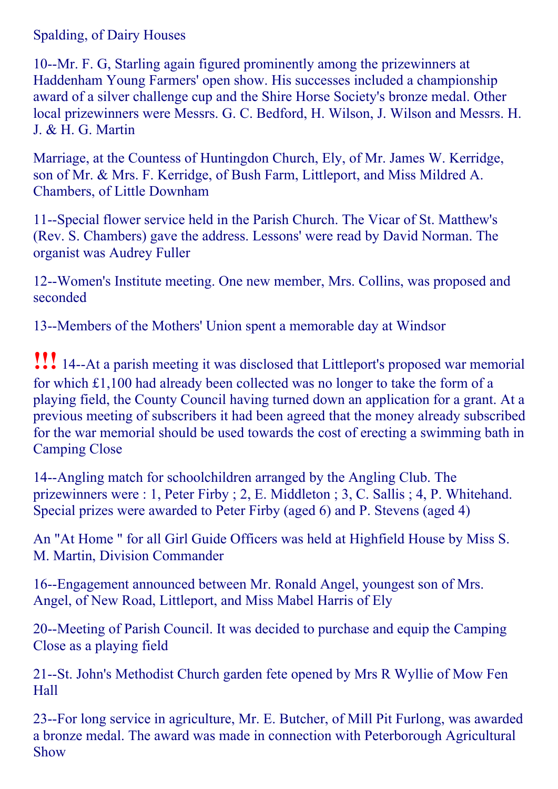Spalding, of Dairy Houses

10--Mr. F. G, Starling again figured prominently among the prizewinners at Haddenham Young Farmers' open show. His successes included a championship award of a silver challenge cup and the Shire Horse Society's bronze medal. Other local prizewinners were Messrs. G. C. Bedford, H. Wilson, J. Wilson and Messrs. H. J. & H. G. Martin

Marriage, at the Countess of Huntingdon Church, Ely, of Mr. James W. Kerridge, son of Mr. & Mrs. F. Kerridge, of Bush Farm, Littleport, and Miss Mildred A. Chambers, of Little Downham

11--Special flower service held in the Parish Church. The Vicar of St. Matthew's (Rev. S. Chambers) gave the address. Lessons' were read by David Norman. The organist was Audrey Fuller

12--Women's Institute meeting. One new member, Mrs. Collins, was proposed and seconded

13--Members of the Mothers' Union spent a memorable day at Windsor

**!!!** 14--At a parish meeting it was disclosed that Littleport's proposed war memorial for which £1,100 had already been collected was no longer to take the form of a playing field, the County Council having turned down an application for a grant. At a previous meeting of subscribers it had been agreed that the money already subscribed for the war memorial should be used towards the cost of erecting a swimming bath in Camping Close

14--Angling match for schoolchildren arranged by the Angling Club. The prizewinners were : 1, Peter Firby ; 2, E. Middleton ; 3, C. Sallis ; 4, P. Whitehand. Special prizes were awarded to Peter Firby (aged 6) and P. Stevens (aged 4)

An "At Home " for all Girl Guide Officers was held at Highfield House by Miss S. M. Martin, Division Commander

16--Engagement announced between Mr. Ronald Angel, youngest son of Mrs. Angel, of New Road, Littleport, and Miss Mabel Harris of Ely

20--Meeting of Parish Council. It was decided to purchase and equip the Camping Close as a playing field

21--St. John's Methodist Church garden fete opened by Mrs R Wyllie of Mow Fen Hall

23-For long service in agriculture, Mr. E. Butcher, of Mill Pit Furlong, was awarded a bronze medal. The award was made in connection with Peterborough Agricultural Show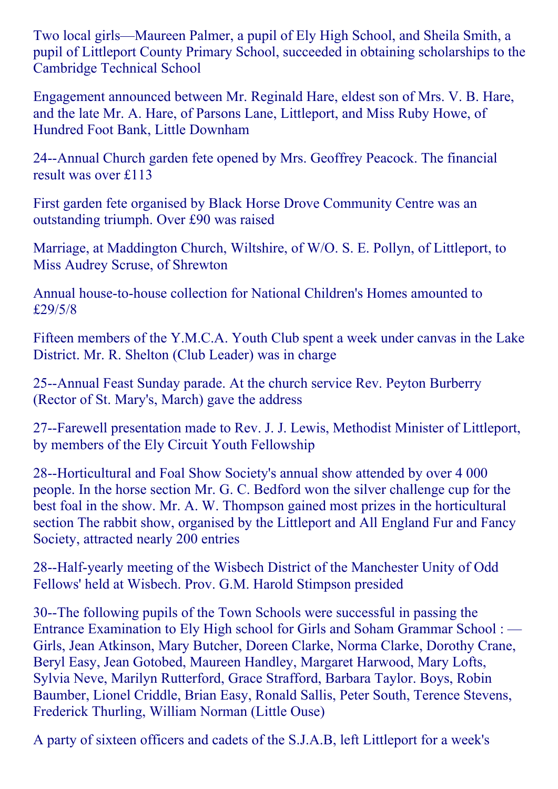Two local girls—Maureen Palmer, a pupil of Ely High School, and Sheila Smith, a pupil of Littleport County Primary School, succeeded in obtaining scholarships to the Cambridge Technical School

Engagement announced between Mr. Reginald Hare, eldest son of Mrs. V. B. Hare, and the late Mr. A. Hare, of Parsons Lane, Littleport, and Miss Ruby Howe, of Hundred Foot Bank, Little Downham

24--Annual Church garden fete opened by Mrs. Geoffrey Peacock. The financial result was over £113

First garden fete organised by Black Horse Drove Community Centre was an outstanding triumph. Over £90 was raised

Marriage, at Maddington Church, Wiltshire, of W/O. S. E. Pollyn, of Littleport, to Miss Audrey Scruse, of Shrewton

Annual house-to-house collection for National Children's Homes amounted to £29/5/8

Fifteen members of the Y.M.C.A. Youth Club spent a week under canvas in the Lake District. Mr. R. Shelton (Club Leader) was in charge

25--Annual Feast Sunday parade. At the church service Rev. Peyton Burberry (Rector of St. Mary's, March) gave the address

27--Farewell presentation made to Rev. J. J. Lewis, Methodist Minister of Littleport, by members of the Ely Circuit Youth Fellowship

28--Horticultural and Foal Show Society's annual show attended by over 4 000 people. In the horse section Mr. G. C. Bedford won the silver challenge cup for the best foal in the show. Mr. A. W. Thompson gained most prizes in the horticultural section The rabbit show, organised by the Littleport and All England Fur and Fancy Society, attracted nearly 200 entries

28--Half-yearly meeting of the Wisbech District of the Manchester Unity of Odd Fellows' held at Wisbech. Prov. G.M. Harold Stimpson presided

30--The following pupils of the Town Schools were successful in passing the Entrance Examination to Ely High school for Girls and Soham Grammar School : — Girls, Jean Atkinson, Mary Butcher, Doreen Clarke, Norma Clarke, Dorothy Crane, Beryl Easy, Jean Gotobed, Maureen Handley, Margaret Harwood, Mary Lofts, Sylvia Neve, Marilyn Rutterford, Grace Strafford, Barbara Taylor. Boys, Robin Baumber, Lionel Criddle, Brian Easy, Ronald Sallis, Peter South, Terence Stevens, Frederick Thurling, William Norman (Little Ouse)

A party of sixteen officers and cadets of the S.J.A.B, left Littleport for a week's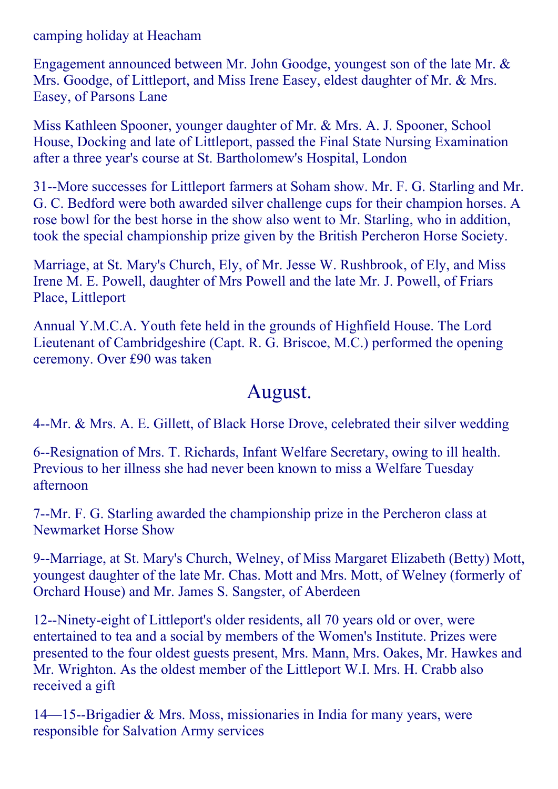camping holiday at Heacham

Engagement announced between Mr. John Goodge, youngest son of the late Mr. & Mrs. Goodge, of Littleport, and Miss Irene Easey, eldest daughter of Mr. & Mrs. Easey, of Parsons Lane

Miss Kathleen Spooner, younger daughter of Mr. & Mrs. A. J. Spooner, School House, Docking and late of Littleport, passed the Final State Nursing Examination after a three year's course at St. Bartholomew's Hospital, London

31--More successes for Littleport farmers at Soham show. Mr. F. G. Starling and Mr. G. C. Bedford were both awarded silver challenge cups for their champion horses. A rose bowl for the best horse in the show also went to Mr. Starling, who in addition, took the special championship prize given by the British Percheron Horse Society.

Marriage, at St. Mary's Church, Ely, of Mr. Jesse W. Rushbrook, of Ely, and Miss Irene M. E. Powell, daughter of Mrs Powell and the late Mr. J. Powell, of Friars Place, Littleport

Annual Y.M.C.A. Youth fete held in the grounds of Highfield House. The Lord Lieutenant of Cambridgeshire (Capt. R. G. Briscoe, M.C.) performed the opening ceremony. Over £90 was taken

#### August.

4--Mr. & Mrs. A. E. Gillett, of Black Horse Drove, celebrated their silver wedding

6--Resignation of Mrs. T. Richards, Infant Welfare Secretary, owing to ill health. Previous to her illness she had never been known to miss a Welfare Tuesday afternoon

7--Mr. F. G. Starling awarded the championship prize in the Percheron class at Newmarket Horse Show

9--Marriage, at St. Mary's Church, Welney, of Miss Margaret Elizabeth (Betty) Mott, youngest daughter of the late Mr. Chas. Mott and Mrs. Mott, of Welney (formerly of Orchard House) and Mr. James S. Sangster, of Aberdeen

12--Ninety-eight of Littleport's older residents, all 70 years old or over, were entertained to tea and a social by members of the Women's Institute. Prizes were presented to the four oldest guests present, Mrs. Mann, Mrs. Oakes, Mr. Hawkes and Mr. Wrighton. As the oldest member of the Littleport W.I. Mrs. H. Crabb also received a gift

 $14$ —15--Brigadier & Mrs. Moss, missionaries in India for many years, were responsible for Salvation Army services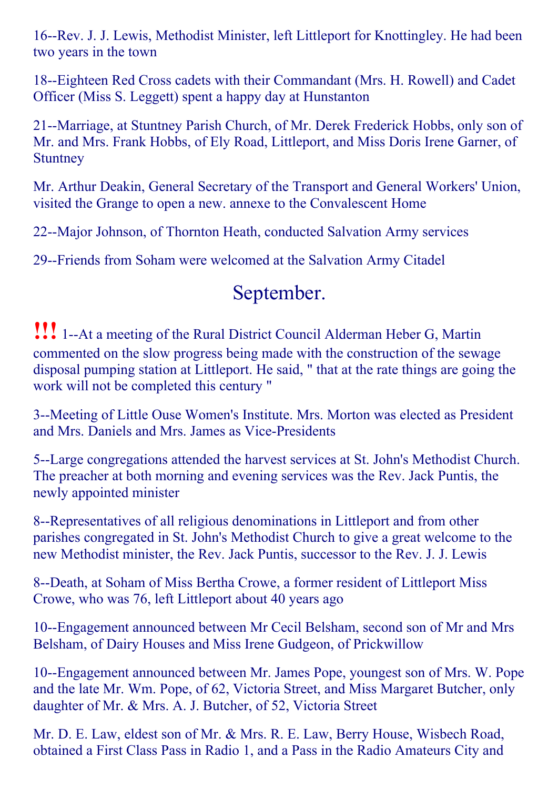16--Rev. J. J. Lewis, Methodist Minister, left Littleport for Knottingley. He had been two years in the town

18--Eighteen Red Cross cadets with their Commandant (Mrs. H. Rowell) and Cadet Officer (Miss S. Leggett) spent a happy day at Hunstanton

21--Marriage, at Stuntney Parish Church, of Mr. Derek Frederick Hobbs, only son of Mr. and Mrs. Frank Hobbs, of Ely Road, Littleport, and Miss Doris Irene Garner, of **Stuntney** 

Mr. Arthur Deakin, General Secretary of the Transport and General Workers' Union, visited the Grange to open a new. annexe to the Convalescent Home

22--Major Johnson, of Thornton Heath, conducted Salvation Army services

29--Friends from Soham were welcomed at the Salvation Army Citadel

# September.

**!!!** 1--At a meeting of the Rural District Council Alderman Heber G, Martin commented on the slow progress being made with the construction of the sewage disposal pumping station at Littleport. He said, " that at the rate things are going the work will not be completed this century "

3--Meeting of Little Ouse Women's Institute. Mrs. Morton was elected as President and Mrs. Daniels and Mrs. James as Vice-Presidents

5--Large congregations attended the harvest services at St. John's Methodist Church. The preacher at both morning and evening services was the Rev. Jack Puntis, the newly appointed minister

8--Representatives of all religious denominations in Littleport and from other parishes congregated in St. John's Methodist Church to give a great welcome to the new Methodist minister, the Rev. Jack Puntis, successor to the Rev. J. J. Lewis

8--Death, at Soham of Miss Bertha Crowe, a former resident of Littleport Miss Crowe, who was 76, left Littleport about 40 years ago

10--Engagement announced between Mr Cecil Belsham, second son of Mr and Mrs Belsham, of Dairy Houses and Miss Irene Gudgeon, of Prickwillow

10--Engagement announced between Mr. James Pope, youngest son of Mrs. W. Pope and the late Mr. Wm. Pope, of 62, Victoria Street, and Miss Margaret Butcher, only daughter of Mr. & Mrs. A. J. Butcher, of 52, Victoria Street

Mr. D. E. Law, eldest son of Mr. & Mrs. R. E. Law, Berry House, Wisbech Road, obtained a First Class Pass in Radio 1, and a Pass in the Radio Amateurs City and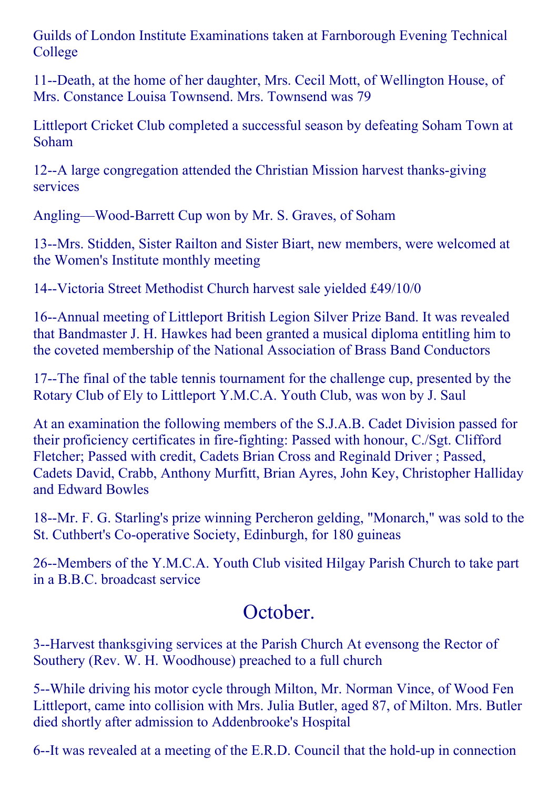Guilds of London Institute Examinations taken at Farnborough Evening Technical College

11--Death, at the home of her daughter, Mrs. Cecil Mott, of Wellington House, of Mrs. Constance Louisa Townsend. Mrs. Townsend was 79

Littleport Cricket Club completed a successful season by defeating Soham Town at Soham

12--A large congregation attended the Christian Mission harvest thanks-giving services

Angling—Wood-Barrett Cup won by Mr. S. Graves, of Soham

13--Mrs. Stidden, Sister Railton and Sister Biart, new members, were welcomed at the Women's Institute monthly meeting

14--Victoria Street Methodist Church harvest sale yielded £49/10/0

16--Annual meeting of Littleport British Legion Silver Prize Band. It was revealed that Bandmaster J. H. Hawkes had been granted a musical diploma entitling him to the coveted membership of the National Association of Brass Band Conductors

17--The final of the table tennis tournament for the challenge cup, presented by the Rotary Club of Ely to Littleport Y.M.C.A. Youth Club, was won by J. Saul

At an examination the following members of the S.J.A.B. Cadet Division passed for their proficiency certificates in fire-fighting: Passed with honour, C./Sgt. Clifford Fletcher; Passed with credit, Cadets Brian Cross and Reginald Driver ; Passed, Cadets David, Crabb, Anthony Murfitt, Brian Ayres, John Key, Christopher Halliday and Edward Bowles

18--Mr. F. G. Starling's prize winning Percheron gelding, "Monarch," was sold to the St. Cuthbert's Co-operative Society, Edinburgh, for 180 guineas

26--Members of the Y.M.C.A. Youth Club visited Hilgay Parish Church to take part in a B.B.C. broadcast service

# October.

3--Harvest thanksgiving services at the Parish Church At evensong the Rector of Southery (Rev. W. H. Woodhouse) preached to a full church

5--While driving his motor cycle through Milton, Mr. Norman Vince, of Wood Fen Littleport, came into collision with Mrs. Julia Butler, aged 87, of Milton. Mrs. Butler died shortly after admission to Addenbrooke's Hospital

6--It was revealed at a meeting of the E.R.D. Council that the hold-up in connection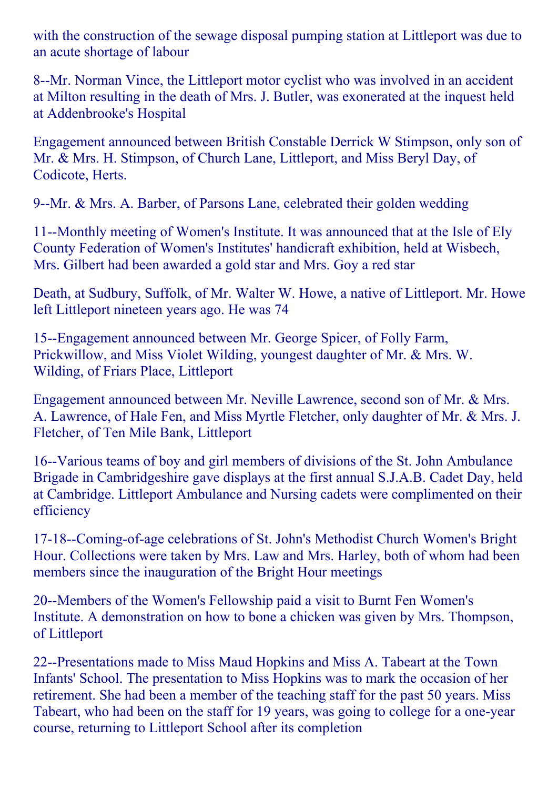with the construction of the sewage disposal pumping station at Littleport was due to an acute shortage of labour

8--Mr. Norman Vince, the Littleport motor cyclist who was involved in an accident at Milton resulting in the death of Mrs. J. Butler, was exonerated at the inquest held at Addenbrooke's Hospital

Engagement announced between British Constable Derrick W Stimpson, only son of Mr. & Mrs. H. Stimpson, of Church Lane, Littleport, and Miss Beryl Day, of Codicote, Herts.

9--Mr. & Mrs. A. Barber, of Parsons Lane, celebrated their golden wedding

11--Monthly meeting of Women's Institute. It was announced that at the Isle of Ely County Federation of Women's Institutes' handicraft exhibition, held at Wisbech, Mrs. Gilbert had been awarded a gold star and Mrs. Goy a red star

Death, at Sudbury, Suffolk, of Mr. Walter W. Howe, a native of Littleport. Mr. Howe left Littleport nineteen years ago. He was 74

15--Engagement announced between Mr. George Spicer, of Folly Farm, Prickwillow, and Miss Violet Wilding, youngest daughter of Mr. & Mrs. W. Wilding, of Friars Place, Littleport

Engagement announced between Mr. Neville Lawrence, second son of Mr. & Mrs. A. Lawrence, of Hale Fen, and Miss Myrtle Fletcher, only daughter of Mr. & Mrs. J. Fletcher, of Ten Mile Bank, Littleport

16--Various teams of boy and girl members of divisions of the St. John Ambulance Brigade in Cambridgeshire gave displays at the first annual S.J.A.B. Cadet Day, held at Cambridge. Littleport Ambulance and Nursing cadets were complimented on their efficiency

17-18--Coming-of-age celebrations of St. John's Methodist Church Women's Bright Hour. Collections were taken by Mrs. Law and Mrs. Harley, both of whom had been members since the inauguration of the Bright Hour meetings

20--Members of the Women's Fellowship paid a visit to Burnt Fen Women's Institute. A demonstration on how to bone a chicken was given by Mrs. Thompson, of Littleport

22--Presentations made to Miss Maud Hopkins and Miss A. Tabeart at the Town Infants' School. The presentation to Miss Hopkins was to mark the occasion of her retirement. She had been a member of the teaching staff for the past 50 years. Miss Tabeart, who had been on the staff for 19 years, was going to college for a one-year course, returning to Littleport School after its completion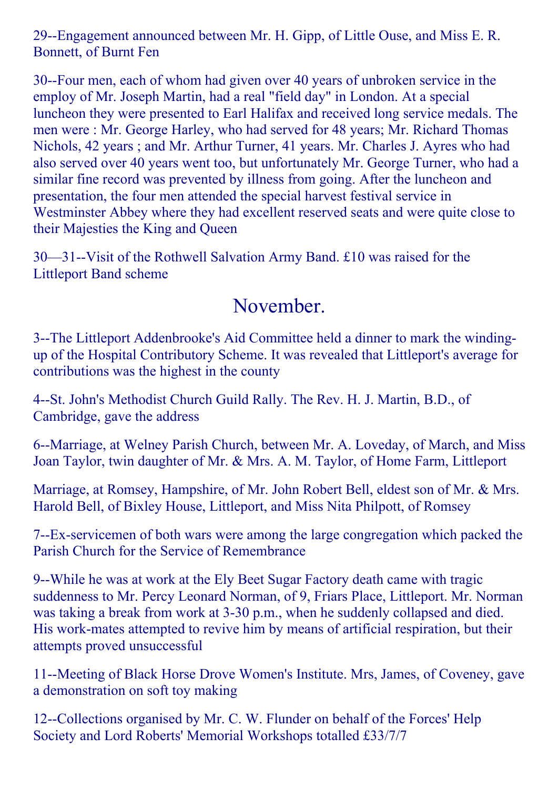29--Engagement announced between Mr. H. Gipp, of Little Ouse, and Miss E. R. Bonnett, of Burnt Fen

30-Four men, each of whom had given over 40 years of unbroken service in the employ of Mr. Joseph Martin, had a real "field day" in London. At a special luncheon they were presented to Earl Halifax and received long service medals. The men were : Mr. George Harley, who had served for 48 years; Mr. Richard Thomas Nichols, 42 years ; and Mr. Arthur Turner, 41 years. Mr. Charles J. Ayres who had also served over 40 years went too, but unfortunately Mr. George Turner, who had a similar fine record was prevented by illness from going. After the luncheon and presentation, the four men attended the special harvest festival service in Westminster Abbey where they had excellent reserved seats and were quite close to their Majesties the King and Queen

 $30 - 31$ --Visit of the Rothwell Salvation Army Band. £10 was raised for the Littleport Band scheme

### November.

3--The Littleport Addenbrooke's Aid Committee held a dinner to mark the windingup of the Hospital Contributory Scheme. It was revealed that Littleport's average for contributions was the highest in the county

4--St. John's Methodist Church Guild Rally. The Rev. H. J. Martin, B.D., of Cambridge, gave the address

6--Marriage, at Welney Parish Church, between Mr. A. Loveday, of March, and Miss Joan Taylor, twin daughter of Mr. & Mrs. A. M. Taylor, of Home Farm, Littleport

Marriage, at Romsey, Hampshire, of Mr. John Robert Bell, eldest son of Mr. & Mrs. Harold Bell, of Bixley House, Littleport, and Miss Nita Philpott, of Romsey

7Exservicemen of both wars were among the large congregation which packed the Parish Church for the Service of Remembrance

9--While he was at work at the Ely Beet Sugar Factory death came with tragic suddenness to Mr. Percy Leonard Norman, of 9, Friars Place, Littleport. Mr. Norman was taking a break from work at 3-30 p.m., when he suddenly collapsed and died. His work-mates attempted to revive him by means of artificial respiration, but their attempts proved unsuccessful

11--Meeting of Black Horse Drove Women's Institute. Mrs, James, of Coveney, gave a demonstration on soft toy making

12--Collections organised by Mr. C. W. Flunder on behalf of the Forces' Help Society and Lord Roberts' Memorial Workshops totalled £33/7/7